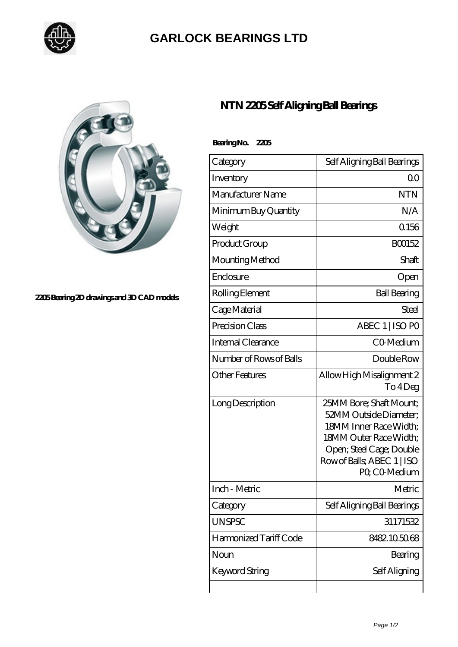

## **[GARLOCK BEARINGS LTD](https://letterstopriests.com)**



## **[2205 Bearing 2D drawings and 3D CAD models](https://letterstopriests.com/pic-194553.html)**

## **[NTN 2205 Self Aligning Ball Bearings](https://letterstopriests.com/bj-194553-ntn-2205-self-aligning-ball-bearings.html)**

| Bearing No. 2205        |                                                                                                                                                                                  |
|-------------------------|----------------------------------------------------------------------------------------------------------------------------------------------------------------------------------|
| Category                | Self Aligning Ball Bearings                                                                                                                                                      |
| Inventory               | 0 <sup>0</sup>                                                                                                                                                                   |
| Manufacturer Name       | <b>NTN</b>                                                                                                                                                                       |
| Minimum Buy Quantity    | N/A                                                                                                                                                                              |
| Weight                  | Q156                                                                                                                                                                             |
| Product Group           | BO0152                                                                                                                                                                           |
| Mounting Method         | Shaft                                                                                                                                                                            |
| Enclosure               | Open                                                                                                                                                                             |
| Rolling Element         | <b>Ball Bearing</b>                                                                                                                                                              |
| Cage Material           | Steel                                                                                                                                                                            |
| Precision Class         | ABEC 1   ISO PO                                                                                                                                                                  |
| Internal Clearance      | CO-Medium                                                                                                                                                                        |
| Number of Rows of Balls | Double Row                                                                                                                                                                       |
| Other Features          | Allow High Misalignment 2<br>To 4Deg                                                                                                                                             |
| Long Description        | 25MM Bore; Shaft Mount;<br>52MM Outside Diameter:<br>18MM Inner Race Width;<br>18MM Outer Race Width;<br>Open; Steel Cage; Double<br>Row of Balls, ABEC 1   ISO<br>PO. CO-Medium |
| Inch - Metric           | Metric                                                                                                                                                                           |
| Category                | Self Aligning Ball Bearings                                                                                                                                                      |
| <b>UNSPSC</b>           | 31171532                                                                                                                                                                         |
| Harmonized Tariff Code  | 8482105068                                                                                                                                                                       |
| Noun                    | Bearing                                                                                                                                                                          |
| Keyword String          | Self Aligning                                                                                                                                                                    |